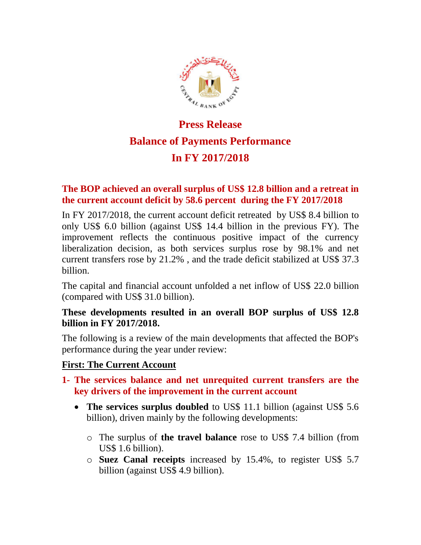

# **Press Release Balance of Payments Performance In FY 2017/2018**

### **The BOP achieved an overall surplus of US\$ 12.8 billion and a retreat in the current account deficit by 58.6 percent during the FY 2017/2018**

In FY 2017/2018, the current account deficit retreated by US\$ 8.4 billion to only US\$ 6.0 billion (against US\$ 14.4 billion in the previous FY). The improvement reflects the continuous positive impact of the currency liberalization decision, as both services surplus rose by 98.1% and net current transfers rose by 21.2% , and the trade deficit stabilized at US\$ 37.3 billion.

The capital and financial account unfolded a net inflow of US\$ 22.0 billion (compared with US\$ 31.0 billion).

### **These developments resulted in an overall BOP surplus of US\$ 12.8 billion in FY 2017/2018.**

The following is a review of the main developments that affected the BOP's performance during the year under review:

#### **First: The Current Account**

- **1- The services balance and net unrequited current transfers are the key drivers of the improvement in the current account** 
	- The services surplus doubled to US\$ 11.1 billion (against US\$ 5.6) billion), driven mainly by the following developments:
		- o The surplus of **the travel balance** rose to US\$ 7.4 billion (from US\$ 1.6 billion).
		- o **Suez Canal receipts** increased by 15.4%, to register US\$ 5.7 billion (against US\$ 4.9 billion).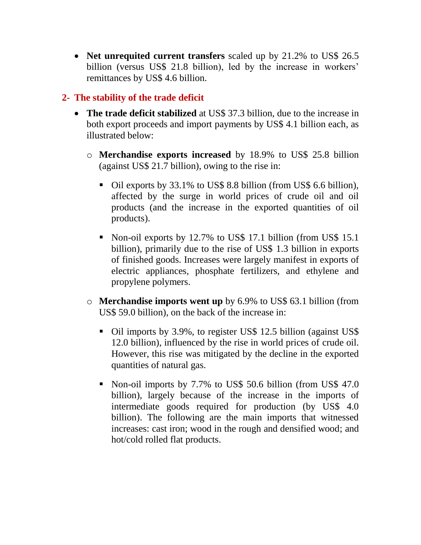• **Net unrequited current transfers** scaled up by 21.2% to US\$ 26.5 billion (versus US\$ 21.8 billion), led by the increase in workers' remittances by US\$ 4.6 billion.

## **2- The stability of the trade deficit**

- **The trade deficit stabilized** at US\$ 37.3 billion, due to the increase in both export proceeds and import payments by US\$ 4.1 billion each, as illustrated below:
	- o **Merchandise exports increased** by 18.9% to US\$ 25.8 billion (against US\$ 21.7 billion), owing to the rise in:
		- Oil exports by 33.1% to US\$ 8.8 billion (from US\$ 6.6 billion), affected by the surge in world prices of crude oil and oil products (and the increase in the exported quantities of oil products).
		- Non-oil exports by 12.7% to US\$ 17.1 billion (from US\$ 15.1) billion), primarily due to the rise of US\$ 1.3 billion in exports of finished goods. Increases were largely manifest in exports of electric appliances, phosphate fertilizers, and ethylene and propylene polymers.
	- o **Merchandise imports went up** by 6.9% to US\$ 63.1 billion (from US\$ 59.0 billion), on the back of the increase in:
		- Oil imports by 3.9%, to register US\$ 12.5 billion (against US\$ 12.0 billion), influenced by the rise in world prices of crude oil. However, this rise was mitigated by the decline in the exported quantities of natural gas.
		- Non-oil imports by 7.7% to US\$ 50.6 billion (from US\$ 47.0) billion), largely because of the increase in the imports of intermediate goods required for production (by US\$ 4.0 billion). The following are the main imports that witnessed increases: cast iron; wood in the rough and densified wood; and hot/cold rolled flat products.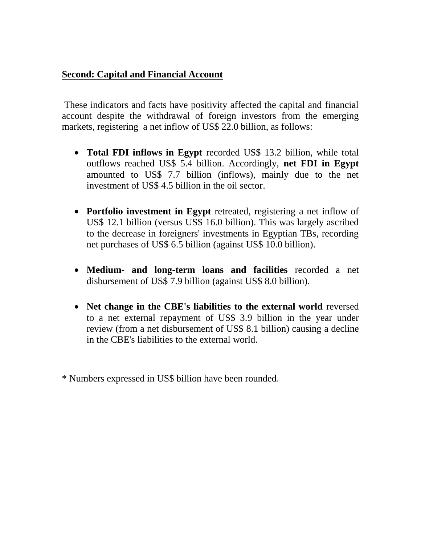#### **Second: Capital and Financial Account**

These indicators and facts have positivity affected the capital and financial account despite the withdrawal of foreign investors from the emerging markets, registering a net inflow of US\$ 22.0 billion, as follows:

- **Total FDI inflows in Egypt** recorded US\$ 13.2 billion, while total outflows reached US\$ 5.4 billion. Accordingly, **net FDI in Egypt** amounted to US\$ 7.7 billion (inflows), mainly due to the net investment of US\$ 4.5 billion in the oil sector.
- **Portfolio investment in Egypt** retreated, registering a net inflow of US\$ 12.1 billion (versus US\$ 16.0 billion). This was largely ascribed to the decrease in foreigners' investments in Egyptian TBs, recording net purchases of US\$ 6.5 billion (against US\$ 10.0 billion).
- **Medium- and long-term loans and facilities** recorded a net disbursement of US\$ 7.9 billion (against US\$ 8.0 billion).
- **Net change in the CBE's liabilities to the external world** reversed to a net external repayment of US\$ 3.9 billion in the year under review (from a net disbursement of US\$ 8.1 billion) causing a decline in the CBE's liabilities to the external world.

\* Numbers expressed in US\$ billion have been rounded.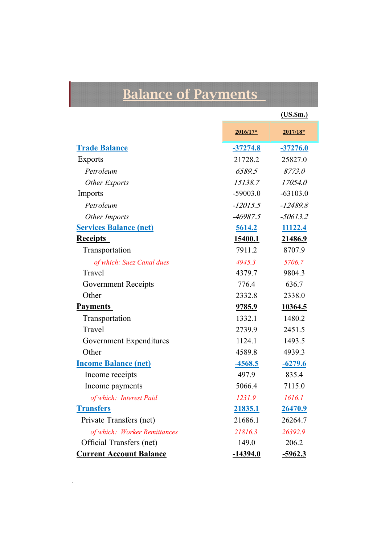# **Balance of Payments**

|                                 |                 | (US.5m.)       |
|---------------------------------|-----------------|----------------|
|                                 | $2016/17*$      | $2017/18*$     |
| <b>Trade Balance</b>            | $-37274.8$      | $-37276.0$     |
| <b>Exports</b>                  | 21728.2         | 25827.0        |
| Petroleum                       | 6589.5          | 8773.0         |
| <b>Other Exports</b>            | 15138.7         | 17054.0        |
| Imports                         | $-59003.0$      | $-63103.0$     |
| Petroleum                       | $-12015.5$      | $-12489.8$     |
| Other Imports                   | -46987.5        | $-50613.2$     |
| <b>Services Balance (net)</b>   | 5614.2          | 11122.4        |
| <b>Receipts</b>                 | 15400.1         | 21486.9        |
| Transportation                  | 7911.2          | 8707.9         |
| of which: Suez Canal dues       | 4945.3          | 5706.7         |
| Travel                          | 4379.7          | 9804.3         |
| <b>Government Receipts</b>      | 776.4           | 636.7          |
| Other                           | 2332.8          | 2338.0         |
| <b>Payments</b>                 | 9785.9          | 10364.5        |
| Transportation                  | 1332.1          | 1480.2         |
| Travel                          | 2739.9          | 2451.5         |
| Government Expenditures         | 1124.1          | 1493.5         |
| Other                           | 4589.8          | 4939.3         |
| <b>Income Balance (net)</b>     | $-4568.5$       | $-6279.6$      |
| Income receipts                 | 497.9           | 835.4          |
| Income payments                 | 5066.4          | 7115.0         |
| of which: Interest Paid         | 1231.9          | 1616.1         |
| <b>Transfers</b>                | 21835.1         | <u>26470.9</u> |
| Private Transfers (net)         | 21686.1         | 26264.7        |
| of which: Worker Remittances    | 21816.3         | 26392.9        |
| <b>Official Transfers (net)</b> | 149.0           | 206.2          |
| <b>Current Account Balance</b>  | <u>-14394.0</u> | <u>-5962.3</u> |

 $\frac{1}{\sqrt{2}}$